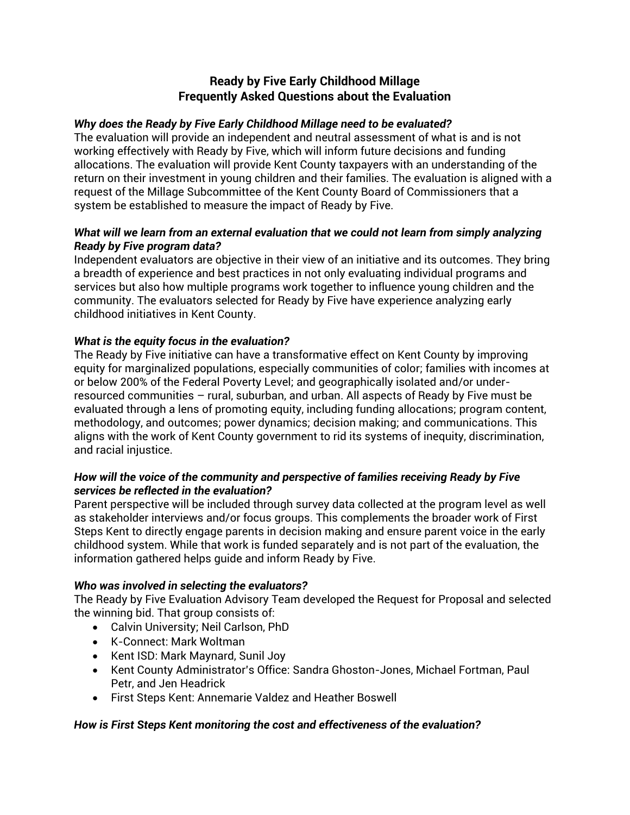# **Ready by Five Early Childhood Millage Frequently Asked Questions about the Evaluation**

### *Why does the Ready by Five Early Childhood Millage need to be evaluated?*

The evaluation will provide an independent and neutral assessment of what is and is not working effectively with Ready by Five, which will inform future decisions and funding allocations. The evaluation will provide Kent County taxpayers with an understanding of the return on their investment in young children and their families. The evaluation is aligned with a request of the Millage Subcommittee of the Kent County Board of Commissioners that a system be established to measure the impact of Ready by Five.

### *What will we learn from an external evaluation that we could not learn from simply analyzing Ready by Five program data?*

Independent evaluators are objective in their view of an initiative and its outcomes. They bring a breadth of experience and best practices in not only evaluating individual programs and services but also how multiple programs work together to influence young children and the community. The evaluators selected for Ready by Five have experience analyzing early childhood initiatives in Kent County.

## *What is the equity focus in the evaluation?*

The Ready by Five initiative can have a transformative effect on Kent County by improving equity for marginalized populations, especially communities of color; families with incomes at or below 200% of the Federal Poverty Level; and geographically isolated and/or underresourced communities – rural, suburban, and urban. All aspects of Ready by Five must be evaluated through a lens of promoting equity, including funding allocations; program content, methodology, and outcomes; power dynamics; decision making; and communications. This aligns with the work of Kent County government to rid its systems of inequity, discrimination, and racial injustice.

### *How will the voice of the community and perspective of families receiving Ready by Five services be reflected in the evaluation?*

Parent perspective will be included through survey data collected at the program level as well as stakeholder interviews and/or focus groups. This complements the broader work of First Steps Kent to directly engage parents in decision making and ensure parent voice in the early childhood system. While that work is funded separately and is not part of the evaluation, the information gathered helps guide and inform Ready by Five.

## *Who was involved in selecting the evaluators?*

The Ready by Five Evaluation Advisory Team developed the Request for Proposal and selected the winning bid. That group consists of:

- Calvin University; Neil Carlson, PhD
- K-Connect: Mark Woltman
- Kent ISD: Mark Maynard, Sunil Joy
- Kent County Administrator's Office: Sandra Ghoston-Jones, Michael Fortman, Paul Petr, and Jen Headrick
- First Steps Kent: Annemarie Valdez and Heather Boswell

## *How is First Steps Kent monitoring the cost and effectiveness of the evaluation?*